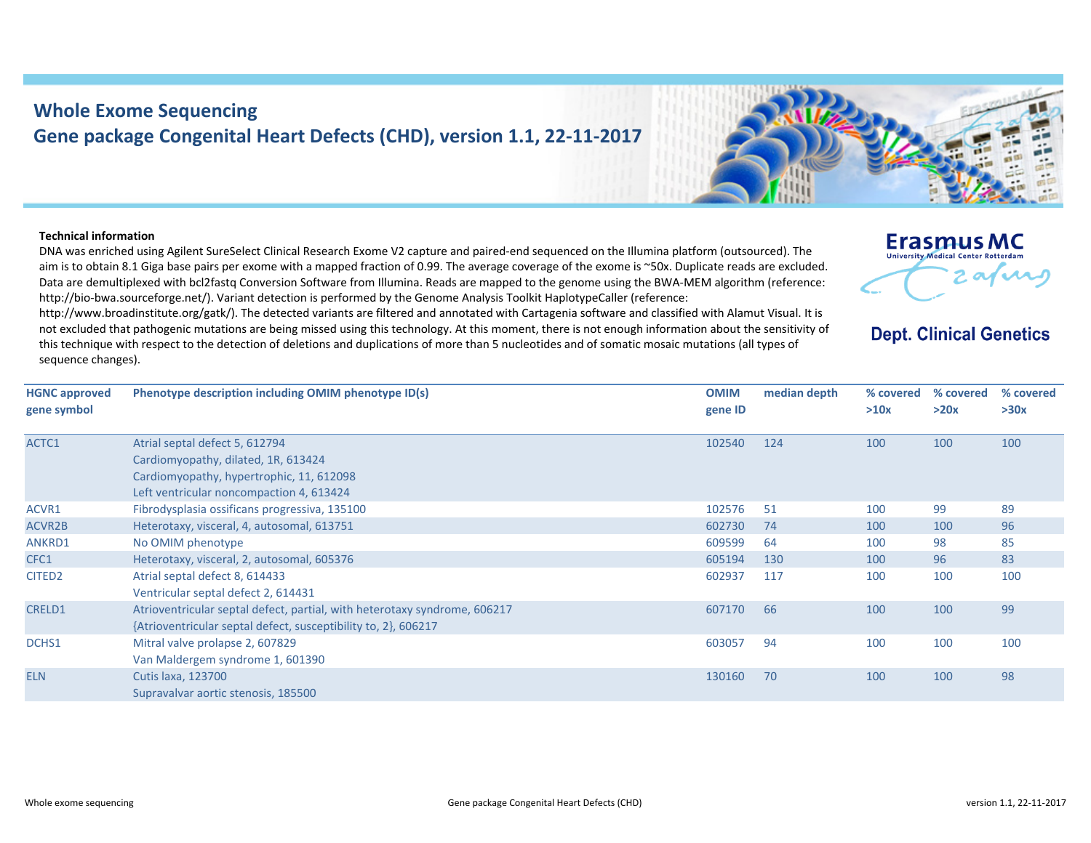## **Whole Exome Sequencing Gene package Congenital Heart Defects (CHD), version 1.1, 22‐11‐2017**

## **Technical information**

DNA was enriched using Agilent SureSelect Clinical Research Exome V2 capture and paired‐end sequenced on the Illumina platform (outsourced). The aim is to obtain 8.1 Giga base pairs per exome with <sup>a</sup> mapped fraction of 0.99. The average coverage of the exome is ~50x. Duplicate reads are excluded. Data are demultiplexed with bcl2fastq Conversion Software from Illumina. Reads are mapped to the genome using the BWA‐MEM algorithm (reference: http://bio-bwa.sourceforge.net/). Variant detection is performed by the Genome Analysis Toolkit HaplotypeCaller (reference:

http://www.broadinstitute.org/gatk/). The detected variants are filtered and annotated with Cartagenia software and classified with Alamut Visual. It is not excluded that pathogenic mutations are being missed using this technology. At this moment, there is not enough information about the sensitivity of this technique with respect to the detection of deletions and duplications of more than 5 nucleotides and of somatic mosaic mutations (all types of sequence changes).

**HGNC approved gene symbol Phenotype description including OMIM phenotype ID(s) OMIM gene ID median depth % covered % covered >10x**l septal defect 5, 612794 Cardiomyopathy, dilated, 1R, 613424 Cardiomyopathy, hypertrophic, 11, 612098 Leftt ventricular noncompaction 4, 613424

| ACTC1              | Atrial septal defect 5, 612794                                            | 102540 | 124 | 100 | 100 | 100 |
|--------------------|---------------------------------------------------------------------------|--------|-----|-----|-----|-----|
|                    | Cardiomyopathy, dilated, 1R, 613424                                       |        |     |     |     |     |
|                    | Cardiomyopathy, hypertrophic, 11, 612098                                  |        |     |     |     |     |
|                    | Left ventricular noncompaction 4, 613424                                  |        |     |     |     |     |
| ACVR1              | Fibrodysplasia ossificans progressiva, 135100                             | 102576 | 51  | 100 | 99  | 89  |
| ACVR2B             | Heterotaxy, visceral, 4, autosomal, 613751                                | 602730 | 74  | 100 | 100 | 96  |
| ANKRD1             | No OMIM phenotype                                                         | 609599 | 64  | 100 | 98  | 85  |
| CFC1               | Heterotaxy, visceral, 2, autosomal, 605376                                | 605194 | 130 | 100 | 96  | 83  |
| CITED <sub>2</sub> | Atrial septal defect 8, 614433                                            | 602937 | 117 | 100 | 100 | 100 |
|                    | Ventricular septal defect 2, 614431                                       |        |     |     |     |     |
| <b>CRELD1</b>      | Atrioventricular septal defect, partial, with heterotaxy syndrome, 606217 | 607170 | 66  | 100 | 100 | 99  |
|                    | {Atrioventricular septal defect, susceptibility to, 2}, 606217            |        |     |     |     |     |
| DCHS1              | Mitral valve prolapse 2, 607829                                           | 603057 | 94  | 100 | 100 | 100 |
|                    | Van Maldergem syndrome 1, 601390                                          |        |     |     |     |     |
| <b>ELN</b>         | <b>Cutis laxa, 123700</b>                                                 | 130160 | 70  | 100 | 100 | 98  |
|                    | Supravalvar aortic stenosis, 185500                                       |        |     |     |     |     |
|                    |                                                                           |        |     |     |     |     |
|                    |                                                                           |        |     |     |     |     |

## **Dept. Clinical Genetics**

 $\sim$ 

**Erasmus MC** University Medical Center Rotterdan

> **% covered >30x**

**>20x**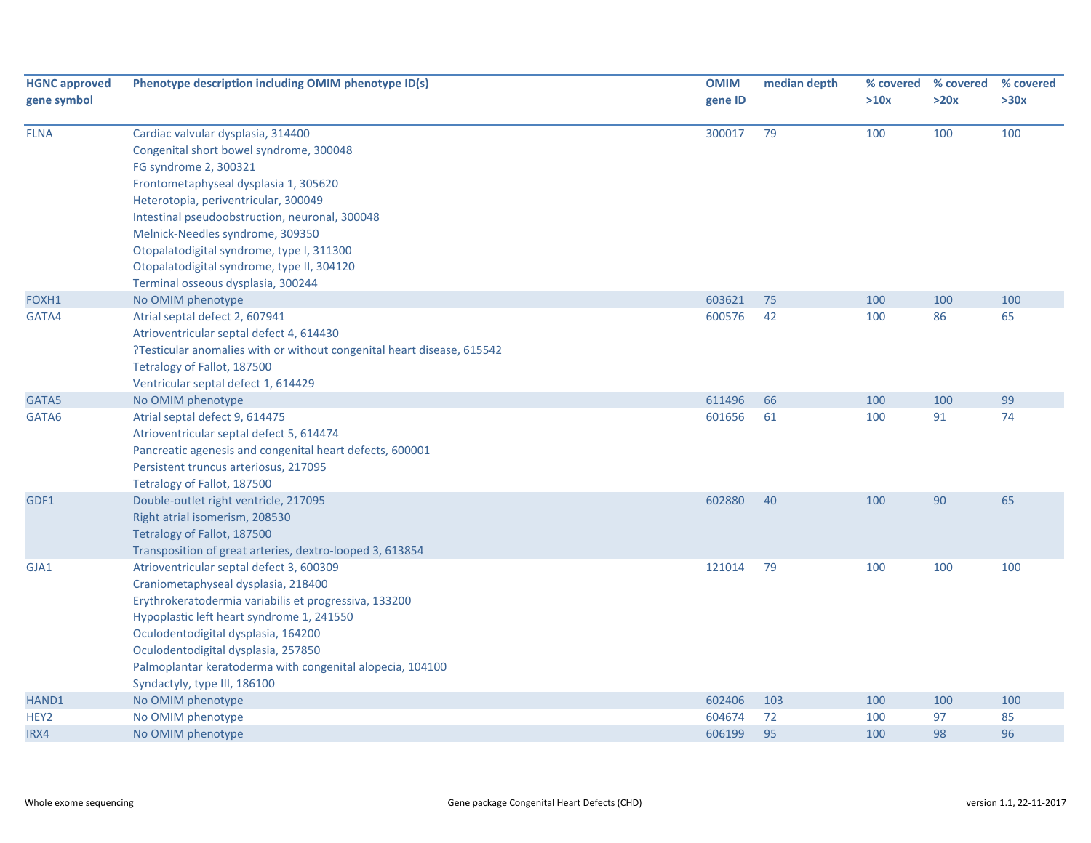| <b>HGNC approved</b><br>gene symbol | Phenotype description including OMIM phenotype ID(s)                                                                                                                                                                                                                                                                                                                                                           | <b>OMIM</b><br>gene ID | median depth | % covered<br>>10x | % covered<br>>20x | % covered<br>>30x |
|-------------------------------------|----------------------------------------------------------------------------------------------------------------------------------------------------------------------------------------------------------------------------------------------------------------------------------------------------------------------------------------------------------------------------------------------------------------|------------------------|--------------|-------------------|-------------------|-------------------|
| <b>FLNA</b>                         | Cardiac valvular dysplasia, 314400<br>Congenital short bowel syndrome, 300048<br>FG syndrome 2, 300321<br>Frontometaphyseal dysplasia 1, 305620<br>Heterotopia, periventricular, 300049<br>Intestinal pseudoobstruction, neuronal, 300048<br>Melnick-Needles syndrome, 309350<br>Otopalatodigital syndrome, type I, 311300<br>Otopalatodigital syndrome, type II, 304120<br>Terminal osseous dysplasia, 300244 | 300017                 | 79           | 100               | 100               | 100               |
| FOXH1                               | No OMIM phenotype                                                                                                                                                                                                                                                                                                                                                                                              | 603621                 | 75           | 100               | 100               | 100               |
| GATA4                               | Atrial septal defect 2, 607941<br>Atrioventricular septal defect 4, 614430<br>?Testicular anomalies with or without congenital heart disease, 615542<br>Tetralogy of Fallot, 187500<br>Ventricular septal defect 1, 614429                                                                                                                                                                                     | 600576                 | 42           | 100               | 86                | 65                |
| GATA5                               | No OMIM phenotype                                                                                                                                                                                                                                                                                                                                                                                              | 611496                 | 66           | 100               | 100               | 99                |
| GATA6                               | Atrial septal defect 9, 614475<br>Atrioventricular septal defect 5, 614474<br>Pancreatic agenesis and congenital heart defects, 600001<br>Persistent truncus arteriosus, 217095<br>Tetralogy of Fallot, 187500                                                                                                                                                                                                 | 601656                 | 61           | 100               | 91                | 74                |
| GDF1                                | Double-outlet right ventricle, 217095<br>Right atrial isomerism, 208530<br>Tetralogy of Fallot, 187500<br>Transposition of great arteries, dextro-looped 3, 613854                                                                                                                                                                                                                                             | 602880                 | 40           | 100               | 90                | 65                |
| GJA1                                | Atrioventricular septal defect 3, 600309<br>Craniometaphyseal dysplasia, 218400<br>Erythrokeratodermia variabilis et progressiva, 133200<br>Hypoplastic left heart syndrome 1, 241550<br>Oculodentodigital dysplasia, 164200<br>Oculodentodigital dysplasia, 257850<br>Palmoplantar keratoderma with congenital alopecia, 104100<br>Syndactyly, type III, 186100                                               | 121014                 | 79           | 100               | 100               | 100               |
| HAND1                               | No OMIM phenotype                                                                                                                                                                                                                                                                                                                                                                                              | 602406                 | 103          | 100               | 100               | 100               |
| HEY2                                | No OMIM phenotype                                                                                                                                                                                                                                                                                                                                                                                              | 604674                 | 72           | 100               | 97                | 85                |
| IRX4                                | No OMIM phenotype                                                                                                                                                                                                                                                                                                                                                                                              | 606199                 | 95           | 100               | 98                | 96                |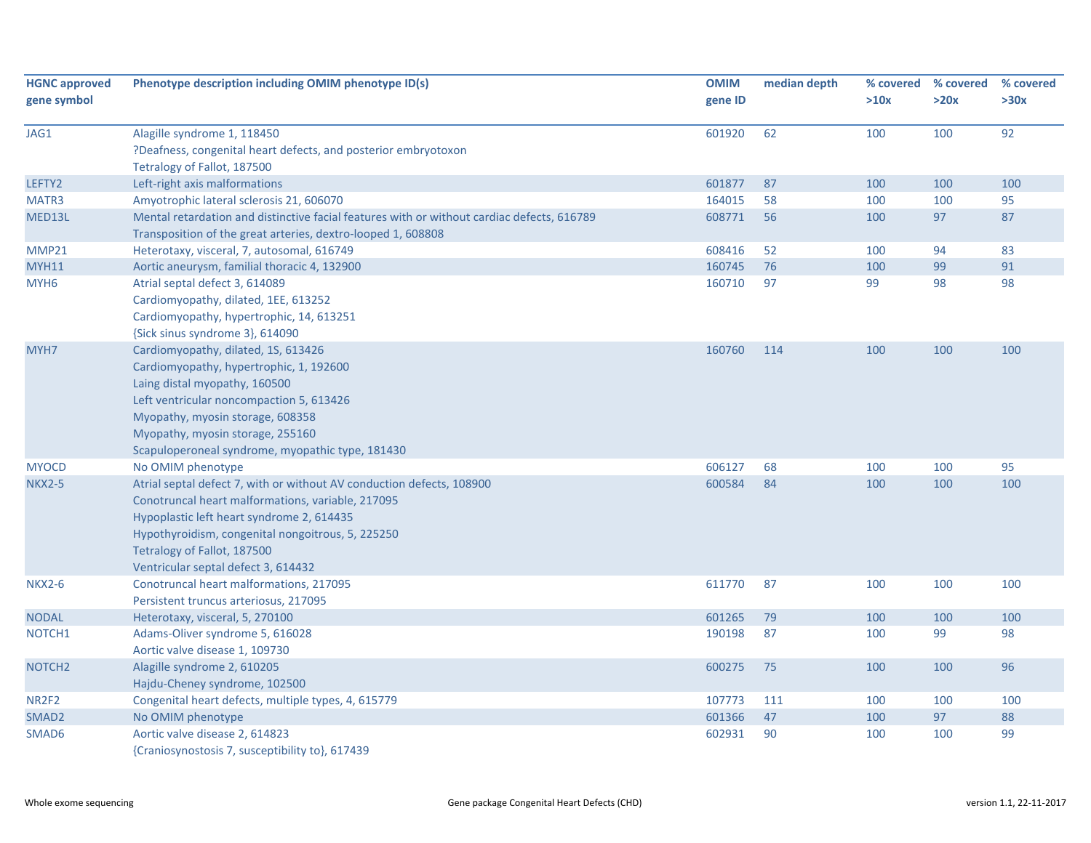| <b>HGNC approved</b><br>gene symbol | Phenotype description including OMIM phenotype ID(s)                                       | <b>OMIM</b><br>gene ID | median depth | % covered<br>>10x | % covered<br>>20x | % covered<br>>30x |
|-------------------------------------|--------------------------------------------------------------------------------------------|------------------------|--------------|-------------------|-------------------|-------------------|
|                                     |                                                                                            |                        |              |                   |                   |                   |
| JAG1                                | Alagille syndrome 1, 118450                                                                | 601920                 | 62           | 100               | 100               | 92                |
|                                     | ?Deafness, congenital heart defects, and posterior embryotoxon                             |                        |              |                   |                   |                   |
|                                     | Tetralogy of Fallot, 187500                                                                |                        |              |                   |                   |                   |
| LEFTY2                              | Left-right axis malformations                                                              | 601877                 | 87           | 100               | 100               | 100               |
| MATR3                               | Amyotrophic lateral sclerosis 21, 606070                                                   | 164015                 | 58           | 100               | 100               | 95                |
| MED13L                              | Mental retardation and distinctive facial features with or without cardiac defects, 616789 | 608771                 | 56           | 100               | 97                | 87                |
|                                     | Transposition of the great arteries, dextro-looped 1, 608808                               |                        |              |                   |                   |                   |
| <b>MMP21</b>                        | Heterotaxy, visceral, 7, autosomal, 616749                                                 | 608416                 | 52           | 100               | 94                | 83                |
| <b>MYH11</b>                        | Aortic aneurysm, familial thoracic 4, 132900                                               | 160745                 | 76           | 100               | 99                | 91                |
| MYH <sub>6</sub>                    | Atrial septal defect 3, 614089                                                             | 160710                 | 97           | 99                | 98                | 98                |
|                                     | Cardiomyopathy, dilated, 1EE, 613252                                                       |                        |              |                   |                   |                   |
|                                     | Cardiomyopathy, hypertrophic, 14, 613251                                                   |                        |              |                   |                   |                   |
|                                     | {Sick sinus syndrome 3}, 614090                                                            |                        |              |                   |                   |                   |
| MYH7                                | Cardiomyopathy, dilated, 1S, 613426                                                        | 160760                 | 114          | 100               | 100               | 100               |
|                                     | Cardiomyopathy, hypertrophic, 1, 192600                                                    |                        |              |                   |                   |                   |
|                                     | Laing distal myopathy, 160500                                                              |                        |              |                   |                   |                   |
|                                     | Left ventricular noncompaction 5, 613426                                                   |                        |              |                   |                   |                   |
|                                     | Myopathy, myosin storage, 608358                                                           |                        |              |                   |                   |                   |
|                                     | Myopathy, myosin storage, 255160                                                           |                        |              |                   |                   |                   |
|                                     | Scapuloperoneal syndrome, myopathic type, 181430                                           |                        |              |                   |                   |                   |
| <b>MYOCD</b>                        | No OMIM phenotype                                                                          | 606127                 | 68           | 100               | 100               | 95                |
| <b>NKX2-5</b>                       | Atrial septal defect 7, with or without AV conduction defects, 108900                      | 600584                 | 84           | 100               | 100               | 100               |
|                                     | Conotruncal heart malformations, variable, 217095                                          |                        |              |                   |                   |                   |
|                                     | Hypoplastic left heart syndrome 2, 614435                                                  |                        |              |                   |                   |                   |
|                                     | Hypothyroidism, congenital nongoitrous, 5, 225250                                          |                        |              |                   |                   |                   |
|                                     | Tetralogy of Fallot, 187500                                                                |                        |              |                   |                   |                   |
|                                     | Ventricular septal defect 3, 614432                                                        |                        |              |                   |                   |                   |
| <b>NKX2-6</b>                       | Conotruncal heart malformations, 217095                                                    | 611770                 | 87           | 100               | 100               | 100               |
|                                     | Persistent truncus arteriosus, 217095                                                      |                        |              |                   |                   |                   |
| <b>NODAL</b>                        | Heterotaxy, visceral, 5, 270100                                                            | 601265                 | 79           | 100               | 100               | 100               |
| NOTCH1                              | Adams-Oliver syndrome 5, 616028                                                            | 190198                 | 87           | 100               | 99                | 98                |
|                                     | Aortic valve disease 1, 109730                                                             |                        |              |                   |                   |                   |
| NOTCH <sub>2</sub>                  | Alagille syndrome 2, 610205                                                                | 600275                 | 75           | 100               | 100               | 96                |
|                                     | Hajdu-Cheney syndrome, 102500                                                              |                        |              |                   |                   |                   |
| NR2F2                               | Congenital heart defects, multiple types, 4, 615779                                        | 107773                 | 111          | 100               | 100               | 100               |
| SMAD <sub>2</sub>                   | No OMIM phenotype                                                                          | 601366                 | 47           | 100               | 97                | 88                |
| SMAD <sub>6</sub>                   | Aortic valve disease 2, 614823                                                             | 602931                 | 90           | 100               | 100               | 99                |
|                                     | {Craniosynostosis 7, susceptibility to}, 617439                                            |                        |              |                   |                   |                   |